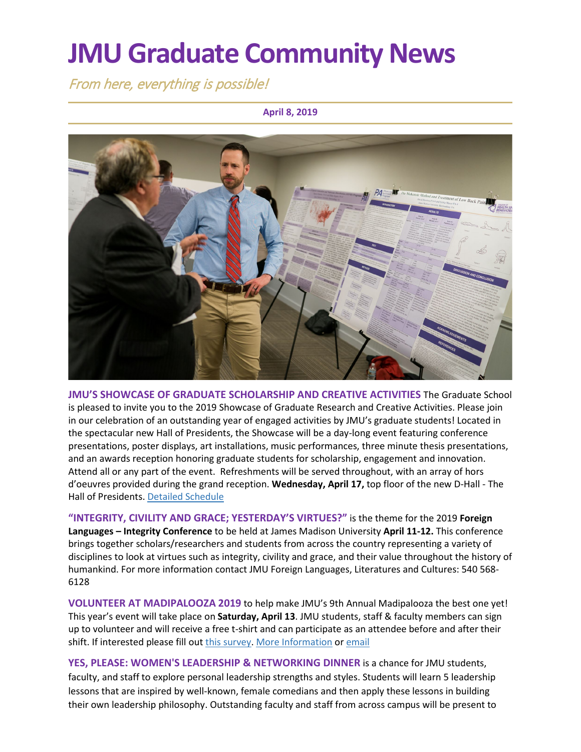# **JMU Graduate Community News**

From here, everything is possible!

#### **April 8, 2019**



**JMU'S SHOWCASE OF GRADUATE SCHOLARSHIP AND CREATIVE ACTIVITIES** The Graduate School is pleased to invite you to the 2019 Showcase of Graduate Research and Creative Activities. Please join in our celebration of an outstanding year of engaged activities by JMU's graduate students! Located in the spectacular new Hall of Presidents, the Showcase will be a day-long event featuring conference presentations, poster displays, art installations, music performances, three minute thesis presentations, and an awards reception honoring graduate students for scholarship, engagement and innovation. Attend all or any part of the event. Refreshments will be served throughout, with an array of hors d'oeuvres provided during the grand reception. **Wednesday, April 17,** top floor of the new D-Hall - The Hall of Presidents. [Detailed Schedule](http://www.jmu.edu/grad/GraduateShowcase/index.shtml)

**"INTEGRITY, CIVILITY AND GRACE; YESTERDAY'S VIRTUES?"** is the theme for the 2019 **Foreign Languages – Integrity Conference** to be held at James Madison University **April 11-12.** This conference brings together scholars/researchers and students from across the country representing a variety of disciplines to look at virtues such as integrity, civility and grace, and their value throughout the history of humankind. For more information contact JMU Foreign Languages, Literatures and Cultures: 540 568- 6128

**VOLUNTEER AT MADIPALOOZA 2019** to help make JMU's 9th Annual Madipalooza the best one yet! This year's event will take place on **Saturday, April 13**. JMU students, staff & faculty members can sign up to volunteer and will receive a free t-shirt and can participate as an attendee before and after their shift. If interested please fill ou[t this survey.](https://docs.google.com/forms/d/e/1FAIpQLScJU9z-EZOnLxEKqoP4xgiclBbyR29t2dAOmzj-OaVtIvqe5w/viewform) [More Information](http://www.jmu.edu/madipalooza/) or [email](mailto:madipaloozavolunteers@gmail.com)

**YES, PLEASE: WOMEN'S LEADERSHIP & NETWORKING DINNER** is a chance for JMU students, faculty, and staff to explore personal leadership strengths and styles. Students will learn 5 leadership lessons that are inspired by well-known, female comedians and then apply these lessons in building their own leadership philosophy. Outstanding faculty and staff from across campus will be present to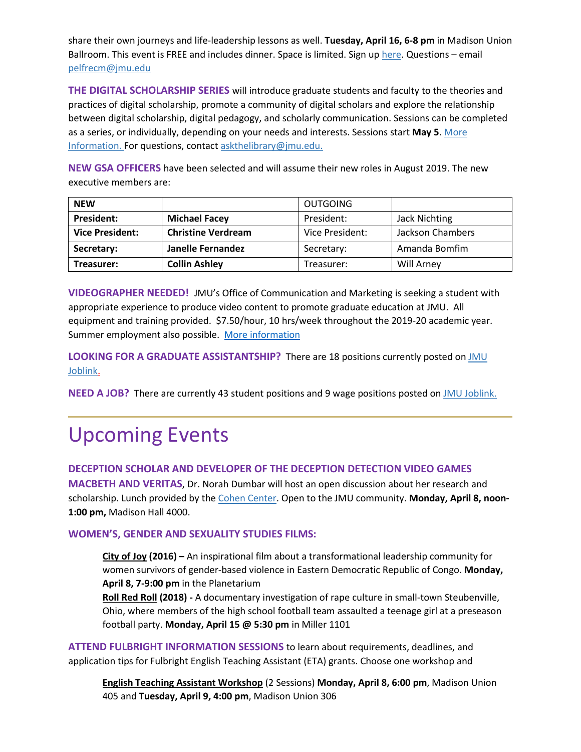share their own journeys and life-leadership lessons as well. **Tuesday, April 16, 6-8 pm** in Madison Union Ballroom. This event is FREE and includes dinner. Space is limited. Sign u[p here.](https://jmu.co1.qualtrics.com/jfe/form/SV_eM2tRmTi3ViuHKB?utm_source=mass_mailer&utm_medium=email&utm_content=362113&utm_campaign=uni_targeted_emails) Questions – email [pelfrecm@jmu.edu](mailto:pelfrecm@jmu.edu)

**THE DIGITAL SCHOLARSHIP SERIES** will introduce graduate students and faculty to the theories and practices of digital scholarship, promote a community of digital scholars and explore the relationship between digital scholarship, digital pedagogy, and scholarly communication. Sessions can be completed as a series, or individually, depending on your needs and interests. Sessions start **May 5**. [More](https://workshop.cit.jmu.edu/courses/183)  [Information.](https://workshop.cit.jmu.edu/courses/183) For questions, contac[t askthelibrary@jmu.edu.](mailto:askthelibrary@jmu.edu)

**NEW GSA OFFICERS** have been selected and will assume their new roles in August 2019. The new executive members are:

| <b>NEW</b>             |                           | <b>OUTGOING</b> |                  |
|------------------------|---------------------------|-----------------|------------------|
| <b>President:</b>      | <b>Michael Facey</b>      | President:      | Jack Nichting    |
| <b>Vice President:</b> | <b>Christine Verdream</b> | Vice President: | Jackson Chambers |
| Secretary:             | Janelle Fernandez         | Secretary:      | Amanda Bomfim    |
| Treasurer:             | <b>Collin Ashley</b>      | Treasurer:      | Will Arney       |

**VIDEOGRAPHER NEEDED!** JMU's Office of Communication and Marketing is seeking a student with appropriate experience to produce video content to promote graduate education at JMU. All equipment and training provided. \$7.50/hour, 10 hrs/week throughout the 2019-20 academic year. Summer employment also possible. [More information](https://joblink.jmu.edu/postings/5215)

**LOOKING FOR A GRADUATE ASSISTANTSHIP?** There are 18 positions currently posted o[n JMU](https://joblink.jmu.edu/)  [Joblink.](https://joblink.jmu.edu/)

**NEED A JOB?** There are currently 43 student positions and 9 wage positions posted o[n JMU Joblink.](https://joblink.jmu.edu/)

## Upcoming Events

#### **DECEPTION SCHOLAR AND DEVELOPER OF THE DECEPTION DETECTION VIDEO GAMES**

**MACBETH AND VERITAS**, Dr. Norah Dumbar will host an open discussion about her research and scholarship. Lunch provided by the [Cohen Center.](http://www.jmu.edu/cohencenter/index.shtml) Open to the JMU community. **Monday, April 8, noon-1:00 pm,** Madison Hall 4000.

#### **WOMEN'S, GENDER AND SEXUALITY STUDIES FILMS:**

**City of Joy (2016) –** An inspirational film about a transformational leadership community for women survivors of gender-based violence in Eastern Democratic Republic of Congo. **Monday, April 8, 7-9:00 pm** in the Planetarium

**Roll Red Roll (2018) -** A documentary investigation of rape culture in small-town Steubenville, Ohio, where members of the high school football team assaulted a teenage girl at a preseason football party. **Monday, April 15 @ 5:30 pm** in Miller 1101

**ATTEND FULBRIGHT INFORMATION SESSIONS** to learn about requirements, deadlines, and application tips for Fulbright English Teaching Assistant (ETA) grants. Choose one workshop and

**English Teaching Assistant Workshop** (2 Sessions) **Monday, April 8, 6:00 pm**, Madison Union 405 and **Tuesday, April 9, 4:00 pm**, Madison Union 306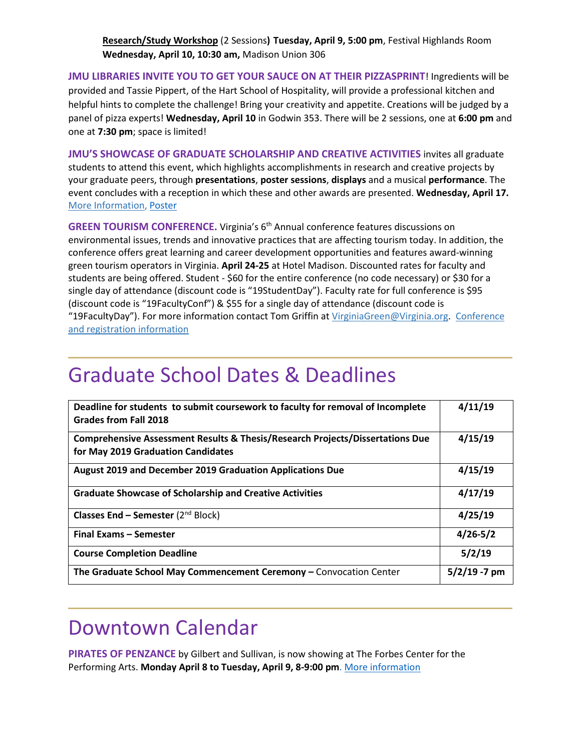**Research/Study Workshop** (2 Sessions**) Tuesday, April 9, 5:00 pm**, Festival Highlands Room **Wednesday, April 10, 10:30 am,** Madison Union 306

**JMU LIBRARIES INVITE YOU TO GET YOUR SAUCE ON AT THEIR PIZZASPRINT**! Ingredients will be provided and Tassie Pippert, of the Hart School of Hospitality, will provide a professional kitchen and helpful hints to complete the challenge! Bring your creativity and appetite. Creations will be judged by a panel of pizza experts! **Wednesday, April 10** in Godwin 353. There will be 2 sessions, one at **6:00 pm** and one at **7:30 pm**; space is limited!

**JMU'S SHOWCASE OF GRADUATE SCHOLARSHIP AND CREATIVE ACTIVITIES** invites all graduate students to attend this event, which highlights accomplishments in research and creative projects by your graduate peers, through **presentations**, **poster sessions**, **displays** and a musical **performance**. The event concludes with a reception in which these and other awards are presented. **Wednesday, April 17.**  [More Information,](http://www.jmu.edu/grad/GraduateShowcase/index.shtml) [Poster](https://www.jmu.edu/grad/index.shtml)

**GREEN TOURISM CONFERENCE.** Virginia's 6<sup>th</sup> Annual conference features discussions on environmental issues, trends and innovative practices that are affecting tourism today. In addition, the conference offers great learning and career development opportunities and features award-winning green tourism operators in Virginia. **April 24-25** at Hotel Madison. Discounted rates for faculty and students are being offered. Student - \$60 for the entire conference (no code necessary) or \$30 for a single day of attendance (discount code is "19StudentDay"). Faculty rate for full conference is \$95 (discount code is "19FacultyConf") & \$55 for a single day of attendance (discount code is "19FacultyDay"). For more information contact Tom Griffin at [VirginiaGreen@Virginia.org.](mailto:VirginiaGreen@Virginia.org) Conference [and registration information](http://www.cvent.com/events/virginia-green-travel-conference-travel-star-awards/event-summary-76daa2d34cec44bca4845cadc798300a.aspx)

### Graduate School Dates & Deadlines

| Deadline for students to submit coursework to faculty for removal of Incomplete<br><b>Grades from Fall 2018</b>                | 4/11/19         |
|--------------------------------------------------------------------------------------------------------------------------------|-----------------|
| <b>Comprehensive Assessment Results &amp; Thesis/Research Projects/Dissertations Due</b><br>for May 2019 Graduation Candidates | 4/15/19         |
| August 2019 and December 2019 Graduation Applications Due                                                                      | 4/15/19         |
| <b>Graduate Showcase of Scholarship and Creative Activities</b>                                                                | 4/17/19         |
| <b>Classes End – Semester</b> ( $2^{nd}$ Block)                                                                                | 4/25/19         |
| <b>Final Exams - Semester</b>                                                                                                  | $4/26 - 5/2$    |
| <b>Course Completion Deadline</b>                                                                                              | 5/2/19          |
| The Graduate School May Commencement Ceremony - Convocation Center                                                             | $5/2/19 - 7$ pm |

### Downtown Calendar

**PIRATES OF PENZANCE** by Gilbert and Sullivan, is now showing at The Forbes Center for the Performing Arts. **Monday April 8 to Tuesday, April 9, 8-9:00 pm**[. More information](http://www.jmuforbescenter.com/forbescenter/events/2019/04/08-pirates-of-penzance.shtml)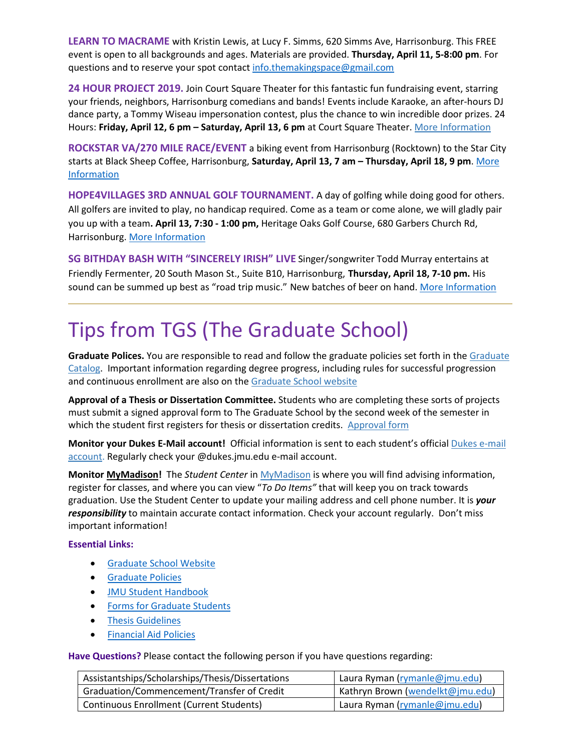**LEARN TO MACRAME** with Kristin Lewis, at Lucy F. Simms, 620 Simms Ave, Harrisonburg. This FREE event is open to all backgrounds and ages. Materials are provided. **Thursday, April 11, 5-8:00 pm**. For questions and to reserve your spot contact [info.themakingspace@gmail.com](mailto:info.themakingspace@gmail.com)

**24 HOUR PROJECT 2019.** Join Court Square Theater for this fantastic fun fundraising event, starring your friends, neighbors, Harrisonburg comedians and bands! Events include Karaoke, an after-hours DJ dance party, a Tommy Wiseau impersonation contest, plus the chance to win incredible door prizes. 24 Hours: **Friday, April 12, 6 pm – Saturday, April 13, 6 pm** at Court Square Theater. [More Information](http://www.valleyarts.org/performances/2019/2/28/24-hour-project-2019)

**ROCKSTAR VA/270 MILE RACE/EVENT** a biking event from Harrisonburg (Rocktown) to the Star City starts at Black Sheep Coffee, Harrisonburg, **Saturday, April 13, 7 am – Thursday, April 18, 9 pm**. [More](https://www.visitharrisonburgva.com/calendar-of-events/)  [Information](https://www.visitharrisonburgva.com/calendar-of-events/)

**HOPE4VILLAGES 3RD ANNUAL GOLF TOURNAMENT.** A day of golfing while doing good for others. All golfers are invited to play, no handicap required. Come as a team or come alone, we will gladly pair you up with a team**. April 13, 7:30 - 1:00 pm,** Heritage Oaks Golf Course, 680 Garbers Church Rd, Harrisonburg. [More Information](https://www.visitharrisonburgva.com/calendar-of-events/)

**SG BITHDAY BASH WITH "SINCERELY IRISH" LIVE** Singer/songwriter Todd Murray entertains at Friendly Fermenter, 20 South Mason St., Suite B10, Harrisonburg, **Thursday, April 18, 7-10 pm.** His sound can be summed up best as "road trip music." New batches of beer on hand. [More Information](https://www.facebook.com/pg/TFFHburg/events/)

# Tips from TGS (The Graduate School)

**Graduate Polices.** You are responsible to read and follow the graduate policies set forth in the [Graduate](http://jmu.edu/catalog)  [Catalog.](http://jmu.edu/catalog) Important information regarding degree progress, including rules for successful progression and continuous enrollment are also on the [Graduate School website](http://www.jmu.edu/grad/current-students/degree-progress/beginning.shtml)

**Approval of a Thesis or Dissertation Committee.** Students who are completing these sorts of projects must submit a signed approval form to The Graduate School by the second week of the semester in which the student first registers for thesis or dissertation credits. [Approval form](https://www.jmu.edu/grad/_files/CommitteeApprovalForm2017-18.pdf)

**Monitor your Dukes E-Mail account!** Official information is sent to each student's officia[l Dukes e-mail](http://www.jmu.edu/computing/helpdesk/selfhelp/DukesEmail.shtml)  [account.](http://www.jmu.edu/computing/helpdesk/selfhelp/DukesEmail.shtml) Regularly check your @dukes.jmu.edu e-mail account.

**Monitor [MyMadison!](http://mymadison.jmu.edu/)** The *Student Center* in [MyMadison](http://mymadison.jmu.edu/) is where you will find advising information, register for classes, and where you can view "*To Do Items"* that will keep you on track towards graduation. Use the Student Center to update your mailing address and cell phone number. It is *your responsibility* to maintain accurate contact information. Check your account regularly. Don't miss important information!

#### **Essential Links:**

- [Graduate School Website](http://www.jmu.edu/grad)
- [Graduate Policies](http://www.jmu.edu/catalog/index.shtml)
- [JMU Student Handbook](https://www.jmu.edu/osarp/handbook/index.shtml)
- [Forms for Graduate Students](http://www.jmu.edu/grad/current-students/graduate-forms.shtml)
- [Thesis Guidelines](http://www.jmu.edu/grad/current-students/thesis-dissertation/information.shtml)
- [Financial Aid Policies](http://www.jmu.edu/finaid/sap.shtml)

**Have Questions?** Please contact the following person if you have questions regarding:

| Assistantships/Scholarships/Thesis/Dissertations | Laura Ryman (rymanle@jmu.edu)    |
|--------------------------------------------------|----------------------------------|
| Graduation/Commencement/Transfer of Credit       | Kathryn Brown (wendelkt@jmu.edu) |
| <b>Continuous Enrollment (Current Students)</b>  | Laura Ryman (rymanle@jmu.edu)    |